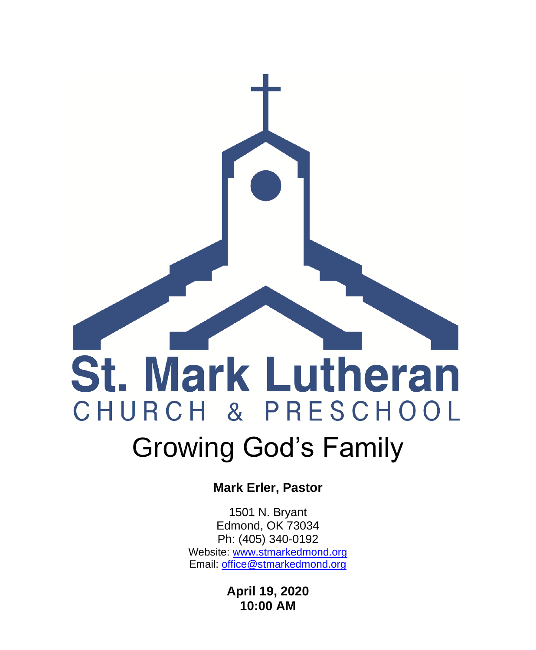# **St. Mark Lutheran** CHURCH & PRESCHOOL Growing God's Family

**Mark Erler, Pastor**

1501 N. Bryant Edmond, OK 73034 Ph: (405) 340-0192 Website: [www.stmarkedmond.org](http://www.stmarkedmond.org/) Email: [office@stmarkedmond.org](mailto:office@stmarkedmond.org)

> **April 19, 2020 10:00 AM**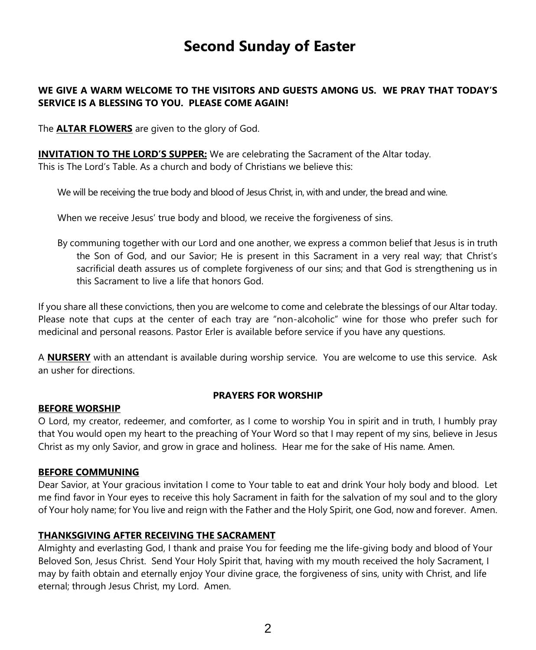# **Second Sunday of Easter**

#### **WE GIVE A WARM WELCOME TO THE VISITORS AND GUESTS AMONG US. WE PRAY THAT TODAY'S SERVICE IS A BLESSING TO YOU. PLEASE COME AGAIN!**

The **ALTAR FLOWERS** are given to the glory of God.

**INVITATION TO THE LORD'S SUPPER:** We are celebrating the Sacrament of the Altar today. This is The Lord's Table. As a church and body of Christians we believe this:

We will be receiving the true body and blood of Jesus Christ, in, with and under, the bread and wine.

When we receive Jesus' true body and blood, we receive the forgiveness of sins.

By communing together with our Lord and one another, we express a common belief that Jesus is in truth the Son of God, and our Savior; He is present in this Sacrament in a very real way; that Christ's sacrificial death assures us of complete forgiveness of our sins; and that God is strengthening us in this Sacrament to live a life that honors God.

If you share all these convictions, then you are welcome to come and celebrate the blessings of our Altar today. Please note that cups at the center of each tray are "non-alcoholic" wine for those who prefer such for medicinal and personal reasons. Pastor Erler is available before service if you have any questions.

A **NURSERY** with an attendant is available during worship service. You are welcome to use this service. Ask an usher for directions.

#### **PRAYERS FOR WORSHIP**

#### **BEFORE WORSHIP**

O Lord, my creator, redeemer, and comforter, as I come to worship You in spirit and in truth, I humbly pray that You would open my heart to the preaching of Your Word so that I may repent of my sins, believe in Jesus Christ as my only Savior, and grow in grace and holiness. Hear me for the sake of His name. Amen.

#### **BEFORE COMMUNING**

Dear Savior, at Your gracious invitation I come to Your table to eat and drink Your holy body and blood. Let me find favor in Your eyes to receive this holy Sacrament in faith for the salvation of my soul and to the glory of Your holy name; for You live and reign with the Father and the Holy Spirit, one God, now and forever. Amen.

#### **THANKSGIVING AFTER RECEIVING THE SACRAMENT**

Almighty and everlasting God, I thank and praise You for feeding me the life-giving body and blood of Your Beloved Son, Jesus Christ. Send Your Holy Spirit that, having with my mouth received the holy Sacrament, I may by faith obtain and eternally enjoy Your divine grace, the forgiveness of sins, unity with Christ, and life eternal; through Jesus Christ, my Lord. Amen.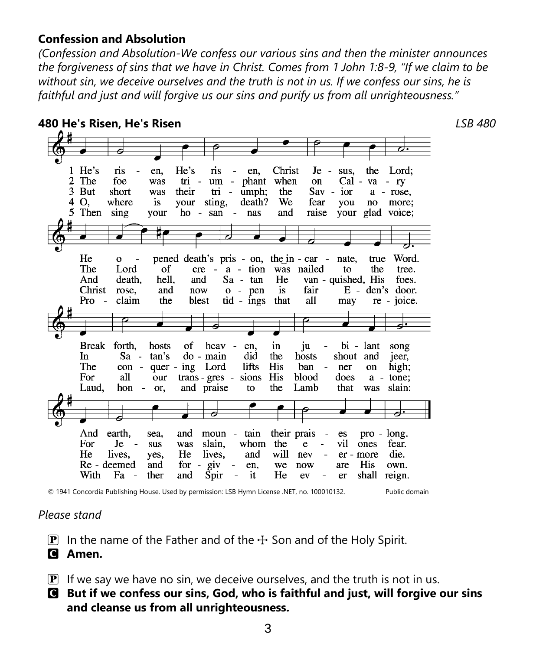#### **Confession and Absolution**

*(Confession and Absolution-We confess our various sins and then the minister announces the forgiveness of sins that we have in Christ. Comes from 1 John 1:8-9, "If we claim to be without sin, we deceive ourselves and the truth is not in us. If we confess our sins, he is faithful and just and will forgive us our sins and purify us from all unrighteousness."*

#### **480 He's Risen, He's Risen** *LSB 480* 1 He's He's ris en. ris en. Christ Je sus. the Lord: 2 The foe was  $\overline{m}$  um - phant when on Cal - va  $-<sub>ry</sub>$ 3 But short their  $Sav - ior$ was  $tri$  - umph; the  $a - rose$ , 4 O. where is your sting, death? We fear you  $no$ more; 5 Then sing raise your glad voice; your ho - san - nas and He  $\overline{O}$ pened death's pris - on, the in - car nate. true Word. The Lord of  $cre - a - tion$ was nailed to the tree. van - quished, His And death. hell. and  $Sa$  -  $tan$ He foes. Christ rose. and now  $o - pen$ is fair  $E - den's door$ . Pro  $\overline{\phantom{a}}$ claim the blest  $tid - ings$ that all re - joice. may Break forth. heav hosts of en. in iu bi - lant song  $Sa -$ In tan's do - main did the hosts shout and jeer, The  $con$ quer - ing Lord lifts His ban ner high;  $\sim$ on For **His** blood does all our  $trans - gres$ sions  $a$ tone: hon - or, the Lamb that slain: Laud. and praise to was And earth. sea. and moun - tain their prais  $\overline{\phantom{a}}$ es  $pro - long.$ For  $Je$ sus was slain. whom the e vil ones fear. He lives. He lives, and will er - more die. yes, nev Re - deemed and for -  $g$ iv His  $\sim$ en, we now are own. With Fa ther He shall  $\sim$ and Spir  $\Box$ it ev er reign.

© 1941 Concordia Publishing House. Used by permission: LSB Hymn License .NET, no. 100010132. Public domain

## *Please stand*

**P** In the name of the Father and of the  $\pm$  Son and of the Holy Spirit.

C **Amen.**

- $\overline{P}$  If we say we have no sin, we deceive ourselves, and the truth is not in us.
- C **But if we confess our sins, God, who is faithful and just, will forgive our sins and cleanse us from all unrighteousness.**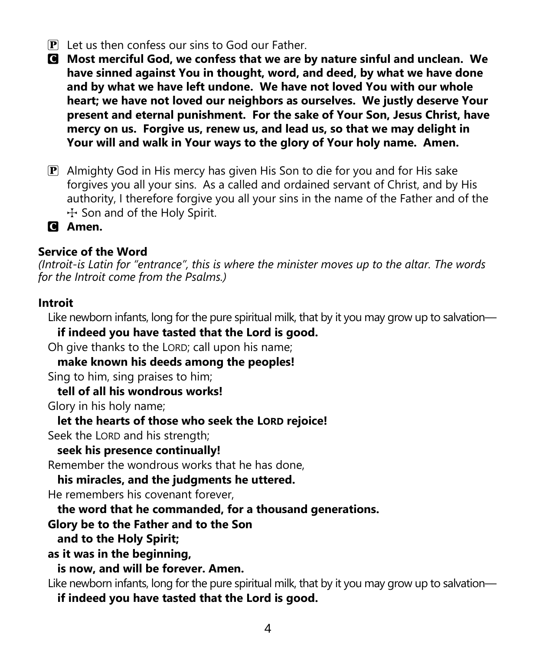- $\mathbf{P}$  Let us then confess our sins to God our Father.
- C **Most merciful God, we confess that we are by nature sinful and unclean. We have sinned against You in thought, word, and deed, by what we have done and by what we have left undone. We have not loved You with our whole heart; we have not loved our neighbors as ourselves. We justly deserve Your present and eternal punishment. For the sake of Your Son, Jesus Christ, have mercy on us. Forgive us, renew us, and lead us, so that we may delight in Your will and walk in Your ways to the glory of Your holy name. Amen.**
- $\mathbf{P}$  Almighty God in His mercy has given His Son to die for you and for His sake forgives you all your sins. As a called and ordained servant of Christ, and by His authority, I therefore forgive you all your sins in the name of the Father and of the  $+$  Son and of the Holy Spirit.

C **Amen.**

## **Service of the Word**

*(Introit-is Latin for "entrance", this is where the minister moves up to the altar. The words for the Introit come from the Psalms.)*

#### **Introit**

Like newborn infants, long for the pure spiritual milk, that by it you may grow up to salvation—

**if indeed you have tasted that the Lord is good.**

Oh give thanks to the LORD; call upon his name;

**make known his deeds among the peoples!**

Sing to him, sing praises to him;

**tell of all his wondrous works!**

Glory in his holy name;

**let the hearts of those who seek the LORD rejoice!**

Seek the LORD and his strength;

**seek his presence continually!**

Remember the wondrous works that he has done,

**his miracles, and the judgments he uttered.**

He remembers his covenant forever,

**the word that he commanded, for a thousand generations.**

# **Glory be to the Father and to the Son**

**and to the Holy Spirit;**

**as it was in the beginning,**

**is now, and will be forever. Amen.**

Like newborn infants, long for the pure spiritual milk, that by it you may grow up to salvation—

**if indeed you have tasted that the Lord is good.**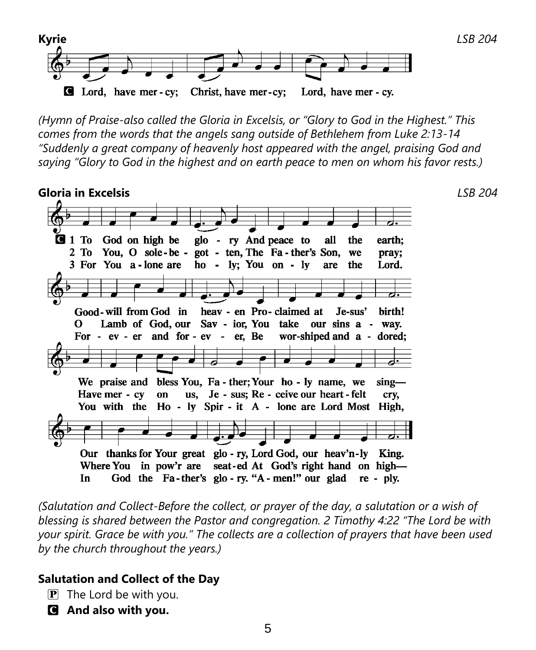

*(Hymn of Praise-also called the Gloria in Excelsis, or "Glory to God in the Highest." This comes from the words that the angels sang outside of Bethlehem from Luke 2:13-14 "Suddenly a great company of heavenly host appeared with the angel, praising God and saying "Glory to God in the highest and on earth peace to men on whom his favor rests.)*

**Gloria in Excelsis** *LSB 204*  $Q_1$  To God on high be glo - ry And peace to the earth; all  $2T<sub>0</sub>$ You, O sole-be - got - ten, The Fa-ther's Son, we pray; 3 For You a-lone are ho -  $ly$ ; You on -  $ly$ are the Lord. Good-will from God in heav - en Pro-claimed at Je-sus' birth!  $\Omega$ Lamb of God, our Sav - ior, You take our sins a - way. For - ev - er and for - ev - er, Be wor-shiped and a - dored; We praise and bless You, Fa - ther; Your ho - ly name, we  $\sin g$  us, Je - sus; Re - ceive our heart - felt Have mer - cv on crv. You with the Ho - ly Spir - it A - lone are Lord Most High, Our thanks for Your great glo - ry, Lord God, our heav'n-ly King. Where You in pow'r are seat-ed At God's right hand on high-In God the Fa-ther's glo-ry. "A-men!" our glad re - ply.

*(Salutation and Collect-Before the collect, or prayer of the day, a salutation or a wish of blessing is shared between the Pastor and congregation. 2 Timothy 4:22 "The Lord be with your spirit. Grace be with you." The collects are a collection of prayers that have been used by the church throughout the years.)*

#### **Salutation and Collect of the Day**

- $\mathbf{P}$  The Lord be with you.
- C **And also with you.**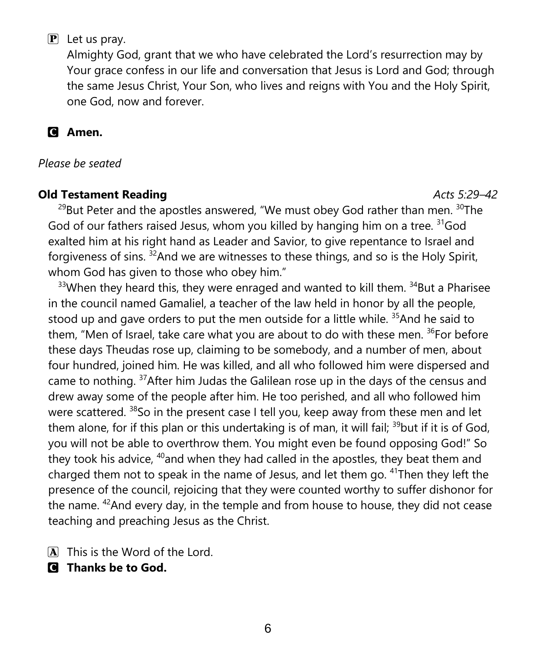# $\mathbf{P}$  Let us pray.

Almighty God, grant that we who have celebrated the Lord's resurrection may by Your grace confess in our life and conversation that Jesus is Lord and God; through the same Jesus Christ, Your Son, who lives and reigns with You and the Holy Spirit, one God, now and forever.

C **Amen.**

*Please be seated*

## **Old Testament Reading Acts 5:29–42 Acts 5:29–42**

<sup>29</sup>But Peter and the apostles answered, "We must obey God rather than men.  $30$ The God of our fathers raised Jesus, whom you killed by hanging him on a tree. <sup>31</sup>God exalted him at his right hand as Leader and Savior, to give repentance to Israel and forgiveness of sins. <sup>32</sup>And we are witnesses to these things, and so is the Holy Spirit, whom God has given to those who obey him."

 $33$ When they heard this, they were enraged and wanted to kill them.  $34$ But a Pharisee in the council named Gamaliel, a teacher of the law held in honor by all the people, stood up and gave orders to put the men outside for a little while.  $35$  And he said to them, "Men of Israel, take care what you are about to do with these men.  $36$  For before these days Theudas rose up, claiming to be somebody, and a number of men, about four hundred, joined him. He was killed, and all who followed him were dispersed and came to nothing. <sup>37</sup>After him Judas the Galilean rose up in the days of the census and drew away some of the people after him. He too perished, and all who followed him were scattered. <sup>38</sup>So in the present case I tell you, keep away from these men and let them alone, for if this plan or this undertaking is of man, it will fail; <sup>39</sup>but if it is of God, you will not be able to overthrow them. You might even be found opposing God!" So they took his advice,  $40$  and when they had called in the apostles, they beat them and charged them not to speak in the name of Jesus, and let them go. <sup>41</sup>Then they left the presence of the council, rejoicing that they were counted worthy to suffer dishonor for the name.  $42$ And every day, in the temple and from house to house, they did not cease teaching and preaching Jesus as the Christ.

A This is the Word of the Lord.

C **Thanks be to God.**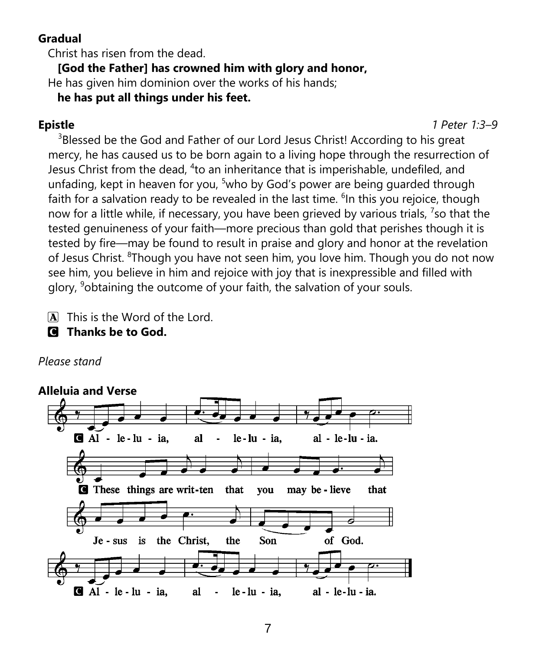# **Gradual**

Christ has risen from the dead.

**[God the Father] has crowned him with glory and honor,**

He has given him dominion over the works of his hands;

**he has put all things under his feet.**

**Epistle** *1 Peter 1:3–9*

<sup>3</sup>Blessed be the God and Father of our Lord Jesus Christ! According to his great mercy, he has caused us to be born again to a living hope through the resurrection of Jesus Christ from the dead, <sup>4</sup>to an inheritance that is imperishable, undefiled, and unfading, kept in heaven for you,  $5$ who by God's power are being guarded through faith for a salvation ready to be revealed in the last time. <sup>6</sup>In this you rejoice, though now for a little while, if necessary, you have been grieved by various trials,  $\frac{7}{5}$  that the tested genuineness of your faith—more precious than gold that perishes though it is tested by fire—may be found to result in praise and glory and honor at the revelation of Jesus Christ. <sup>8</sup>Though you have not seen him, you love him. Though you do not now see him, you believe in him and rejoice with joy that is inexpressible and filled with glory, <sup>9</sup>obtaining the outcome of your faith, the salvation of your souls.

- A This is the Word of the Lord.
- C **Thanks be to God.**

*Please stand*

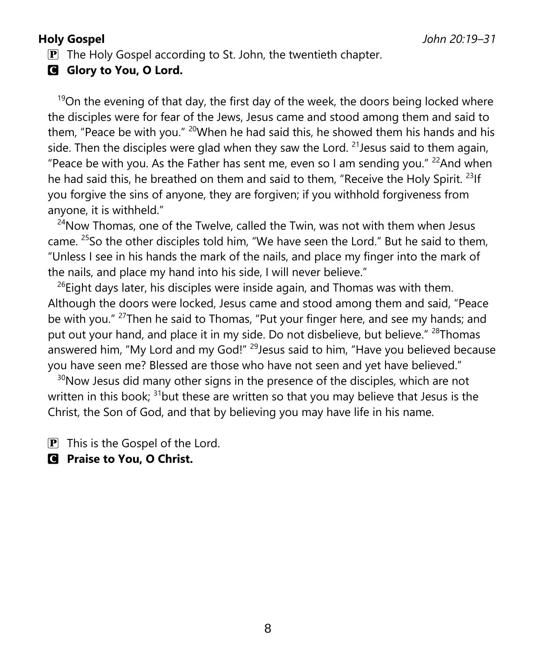$\mathbf{P}$  The Holy Gospel according to St. John, the twentieth chapter.

**G** Glory to You, O Lord.

 $19$ On the evening of that day, the first day of the week, the doors being locked where the disciples were for fear of the Jews, Jesus came and stood among them and said to them, "Peace be with you."  $20$ When he had said this, he showed them his hands and his side. Then the disciples were glad when they saw the Lord. <sup>21</sup> Jesus said to them again, "Peace be with you. As the Father has sent me, even so I am sending you."  $^{22}$ And when he had said this, he breathed on them and said to them, "Receive the Holy Spirit.<sup>23</sup>If you forgive the sins of anyone, they are forgiven; if you withhold forgiveness from anyone, it is withheld."

 $24$ Now Thomas, one of the Twelve, called the Twin, was not with them when Jesus came. <sup>25</sup>So the other disciples told him, "We have seen the Lord." But he said to them, "Unless I see in his hands the mark of the nails, and place my finger into the mark of the nails, and place my hand into his side, I will never believe."

 $^{26}$ Eight days later, his disciples were inside again, and Thomas was with them. Although the doors were locked, Jesus came and stood among them and said, "Peace be with you." <sup>27</sup>Then he said to Thomas, "Put your finger here, and see my hands; and put out your hand, and place it in my side. Do not disbelieve, but believe." <sup>28</sup>Thomas answered him, "My Lord and my God!" <sup>29</sup> Jesus said to him, "Have you believed because you have seen me? Blessed are those who have not seen and yet have believed."

 $30$ Now Jesus did many other signs in the presence of the disciples, which are not written in this book;  $31$  but these are written so that you may believe that Jesus is the Christ, the Son of God, and that by believing you may have life in his name.

 $\mathbf{P}$  This is the Gospel of the Lord.

C **Praise to You, O Christ.**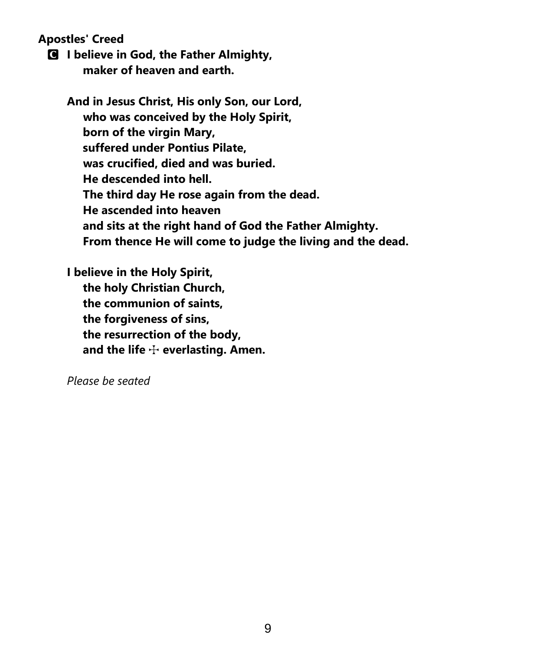**Apostles' Creed**

C **I believe in God, the Father Almighty, maker of heaven and earth.**

**And in Jesus Christ, His only Son, our Lord, who was conceived by the Holy Spirit, born of the virgin Mary, suffered under Pontius Pilate, was crucified, died and was buried. He descended into hell. The third day He rose again from the dead. He ascended into heaven and sits at the right hand of God the Father Almighty. From thence He will come to judge the living and the dead.**

**I believe in the Holy Spirit, the holy Christian Church, the communion of saints, the forgiveness of sins, the resurrection of the body,** and the life  $\div$  everlasting. Amen.

*Please be seated*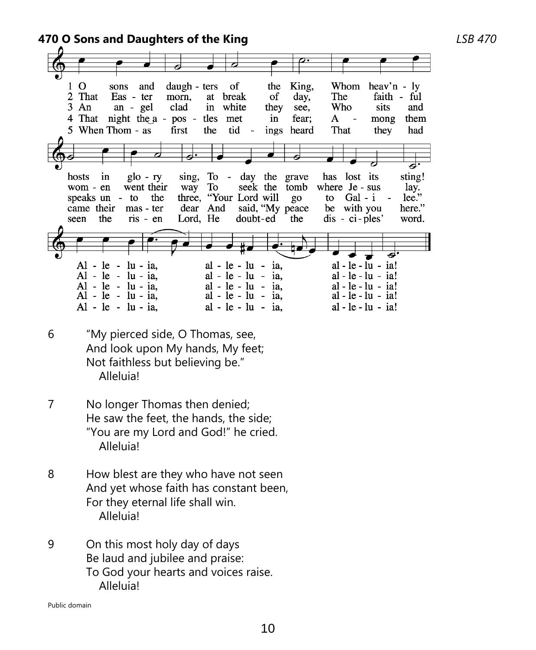**470 O Sons and Daughters of the King** *LSB 470*

 $1<sub>0</sub>$ of King. Whom sons and daugh - ters the heav'n  $-$  ly 2 That Eas - ter morn, at break of day, The faith - ful  $3 \text{ An}$ an - gel clad white Who sits in they see, and 4 That night the a - pos tles met in fear; A mong them 5 When Thom - as first the tid ings heard That they had in  $g$ lo - ry To - day the grave has lost its sting! hosts sing, wom - en went their seek the tomb where Je - sus way To lay. three, "Your Lord will speaks un - to the  $g_{O}$ to Gal i  $lee.$ " dear And be with you here." came their mas - ter said, "My peace seen the  $ris - en$ Lord, He doubt-ed the  $dis - ci$ -ples' word.  $Al - le - lu - ia$ ,  $al - le - lu - ia$ , al - le - lu - ia!  $al - le - lu - ia!$  $Al - le - lu - ia$ .  $al - le - lu - ia$ ,  $Al - le - lu - ia$ .  $al - le - lu - ia$ ,  $al - le - lu - ia!$  $Al - le - lu - ia,$  $al - le - lu - ia,$  $al - le - lu - ia!$  $Al - le - lu - ia$ ,  $al - le - lu - ia$ ,  $al - le - lu - ia!$ 

- 6 "My pierced side, O Thomas, see, And look upon My hands, My feet; Not faithless but believing be." Alleluia!
- 7 No longer Thomas then denied; He saw the feet, the hands, the side; "You are my Lord and God!" he cried. Alleluia!
- 8 How blest are they who have not seen And yet whose faith has constant been, For they eternal life shall win. Alleluia!
- 9 On this most holy day of days Be laud and jubilee and praise: To God your hearts and voices raise. Alleluia!

Public domain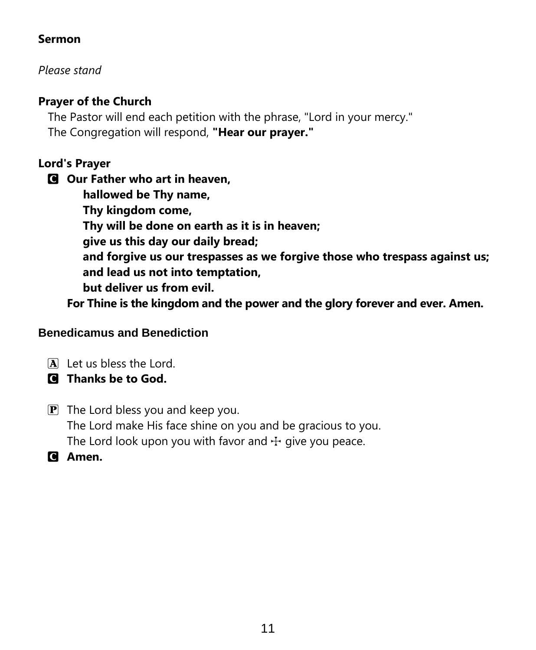# **Sermon**

*Please stand*

# **Prayer of the Church**

The Pastor will end each petition with the phrase, "Lord in your mercy." The Congregation will respond, **"Hear our prayer."**

# **Lord's Prayer**

C **Our Father who art in heaven, hallowed be Thy name, Thy kingdom come, Thy will be done on earth as it is in heaven; give us this day our daily bread; and forgive us our trespasses as we forgive those who trespass against us; and lead us not into temptation, but deliver us from evil.**

**For Thine is the kingdom and the power and the glory forever and ever. Amen.**

## **Benedicamus and Benediction**

A Let us bless the Lord.

- C **Thanks be to God.**
- $\mathbf{P}$  The Lord bless you and keep you. The Lord make His face shine on you and be gracious to you. The Lord look upon you with favor and  $\pm$  give you peace.
- C **Amen.**